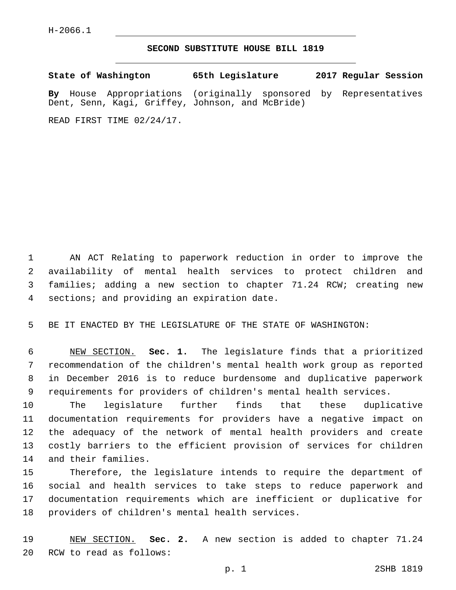## **SECOND SUBSTITUTE HOUSE BILL 1819**

**State of Washington 65th Legislature 2017 Regular Session By** House Appropriations (originally sponsored by Representatives Dent, Senn, Kagi, Griffey, Johnson, and McBride)

READ FIRST TIME 02/24/17.

 AN ACT Relating to paperwork reduction in order to improve the availability of mental health services to protect children and families; adding a new section to chapter 71.24 RCW; creating new 4 sections; and providing an expiration date.

5 BE IT ENACTED BY THE LEGISLATURE OF THE STATE OF WASHINGTON:

 NEW SECTION. **Sec. 1.** The legislature finds that a prioritized recommendation of the children's mental health work group as reported in December 2016 is to reduce burdensome and duplicative paperwork requirements for providers of children's mental health services.

 The legislature further finds that these duplicative documentation requirements for providers have a negative impact on the adequacy of the network of mental health providers and create costly barriers to the efficient provision of services for children 14 and their families.

 Therefore, the legislature intends to require the department of social and health services to take steps to reduce paperwork and documentation requirements which are inefficient or duplicative for 18 providers of children's mental health services.

19 NEW SECTION. **Sec. 2.** A new section is added to chapter 71.24 20 RCW to read as follows: